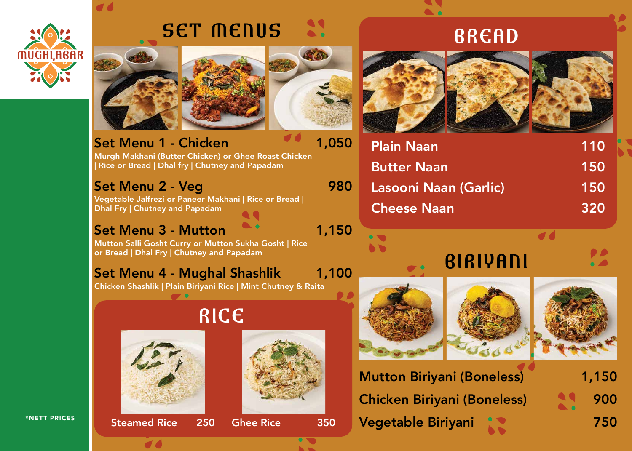

# SET MENUS





Mutton Biriyani (Boneless) Chicken Biriyani (Boneless) Vegetable Biriyani

1,150

900

750



Set Menu 1 - Chicken Murgh Makhani (Butter Chicken) or Ghee Roast Chicken | Rice or Bread | Dhal fry | Chutney and Papadam 1,050

### Set Menu 2 - Veg

Vegetable Jalfrezi or Paneer Makhani | Rice or Bread | Dhal Fry | Chutney and Papadam

980

### Set Menu 3 - Mutton

Mutton Salli Gosht Curry or Mutton Sukha Gosht | Rice or Bread | Dhal Fry | Chutney and Papadam

1,150

## Set Menu 4 - Mughal Shashlik

Chicken Shashlik | Plain Biriyani Rice | Mint Chutney & Raita

1,100



**BREAD** 

## RICE













Plain Naan Butter Naan Lasooni Naan (Garlic) Cheese Naan